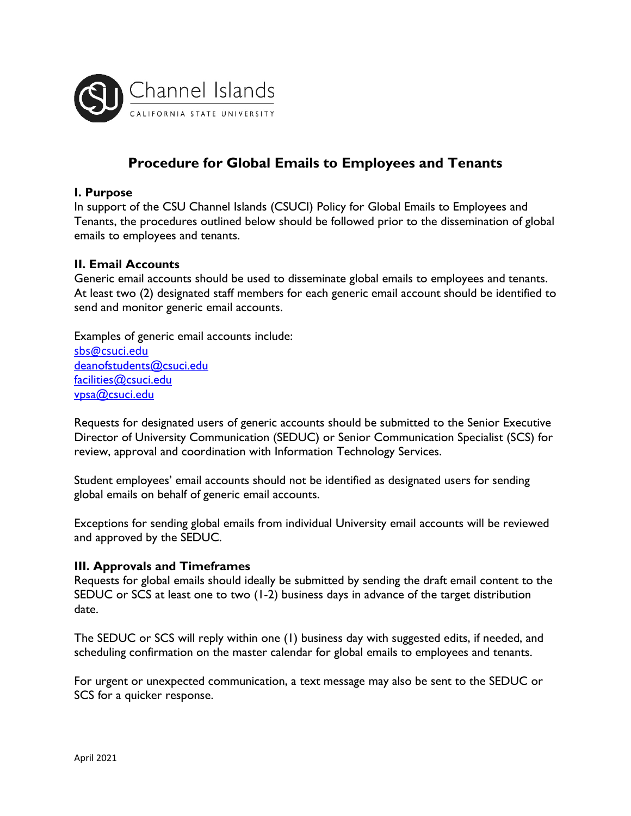

# **Procedure for Global Emails to Employees and Tenants**

### **I. Purpose**

In support of the CSU Channel Islands (CSUCI) Policy for Global Emails to Employees and Tenants, the procedures outlined below should be followed prior to the dissemination of global emails to employees and tenants.

#### **II. Email Accounts**

Generic email accounts should be used to disseminate global emails to employees and tenants. At least two (2) designated staff members for each generic email account should be identified to send and monitor generic email accounts.

Examples of generic email accounts include: [sbs@csuci.edu](mailto:sbs@csuci.edu) [deanofstudents@csuci.edu](mailto:deanofstudents@csuci.edu) [facilities@csuci.edu](mailto:facilities@csuci.edu) [vpsa@csuci.edu](mailto:vpsa@csuci.edu)

Requests for designated users of generic accounts should be submitted to the Senior Executive Director of University Communication (SEDUC) or Senior Communication Specialist (SCS) for review, approval and coordination with Information Technology Services.

Student employees' email accounts should not be identified as designated users for sending global emails on behalf of generic email accounts.

Exceptions for sending global emails from individual University email accounts will be reviewed and approved by the SEDUC.

#### **III. Approvals and Timeframes**

Requests for global emails should ideally be submitted by sending the draft email content to the SEDUC or SCS at least one to two (1-2) business days in advance of the target distribution date.

The SEDUC or SCS will reply within one (1) business day with suggested edits, if needed, and scheduling confirmation on the master calendar for global emails to employees and tenants.

For urgent or unexpected communication, a text message may also be sent to the SEDUC or SCS for a quicker response.